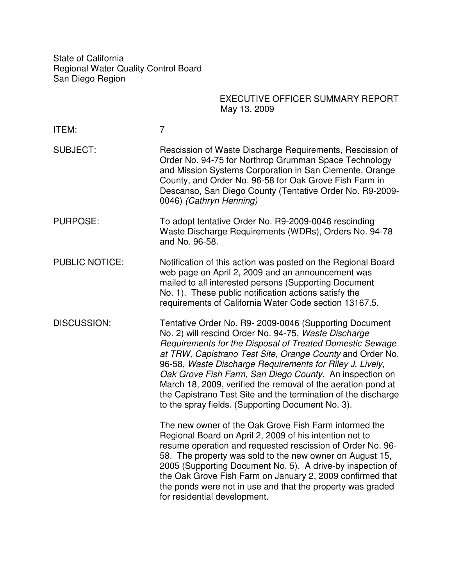State of California Regional Water Quality Control Board San Diego Region

#### EXECUTIVE OFFICER SUMMARY REPORT May 13, 2009

| ITEM:                 | $\overline{7}$                                                                                                                                                                                                                                                                                                                                                                                                                                                                                                                                      |  |
|-----------------------|-----------------------------------------------------------------------------------------------------------------------------------------------------------------------------------------------------------------------------------------------------------------------------------------------------------------------------------------------------------------------------------------------------------------------------------------------------------------------------------------------------------------------------------------------------|--|
| <b>SUBJECT:</b>       | Rescission of Waste Discharge Requirements, Rescission of<br>Order No. 94-75 for Northrop Grumman Space Technology<br>and Mission Systems Corporation in San Clemente, Orange<br>County, and Order No. 96-58 for Oak Grove Fish Farm in<br>Descanso, San Diego County (Tentative Order No. R9-2009-<br>0046) (Cathryn Henning)                                                                                                                                                                                                                      |  |
| <b>PURPOSE:</b>       | To adopt tentative Order No. R9-2009-0046 rescinding<br>Waste Discharge Requirements (WDRs), Orders No. 94-78<br>and No. 96-58.                                                                                                                                                                                                                                                                                                                                                                                                                     |  |
| <b>PUBLIC NOTICE:</b> | Notification of this action was posted on the Regional Board<br>web page on April 2, 2009 and an announcement was<br>mailed to all interested persons (Supporting Document<br>No. 1). These public notification actions satisfy the<br>requirements of California Water Code section 13167.5.                                                                                                                                                                                                                                                       |  |
| DISCUSSION:           | Tentative Order No. R9-2009-0046 (Supporting Document<br>No. 2) will rescind Order No. 94-75, Waste Discharge<br>Requirements for the Disposal of Treated Domestic Sewage<br>at TRW, Capistrano Test Site, Orange County and Order No.<br>96-58, Waste Discharge Requirements for Riley J. Lively,<br>Oak Grove Fish Farm, San Diego County. An inspection on<br>March 18, 2009, verified the removal of the aeration pond at<br>the Capistrano Test Site and the termination of the discharge<br>to the spray fields. (Supporting Document No. 3). |  |
|                       | The new owner of the Oak Grove Fish Farm informed the<br>Regional Board on April 2, 2009 of his intention not to<br>resume operation and requested rescission of Order No. 96-<br>58. The property was sold to the new owner on August 15,<br>2005 (Supporting Document No. 5). A drive-by inspection of<br>the Oak Grove Fish Farm on January 2, 2009 confirmed that<br>the ponds were not in use and that the property was graded<br>for residential development.                                                                                 |  |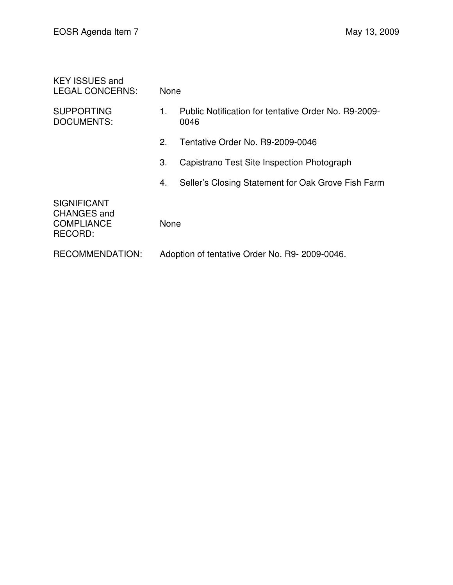| <b>KEY ISSUES and</b><br><b>LEGAL CONCERNS:</b>                          | None                                          |                                                              |  |
|--------------------------------------------------------------------------|-----------------------------------------------|--------------------------------------------------------------|--|
| <b>SUPPORTING</b><br><b>DOCUMENTS:</b>                                   | 1.                                            | Public Notification for tentative Order No. R9-2009-<br>0046 |  |
|                                                                          | 2.                                            | Tentative Order No. R9-2009-0046                             |  |
|                                                                          | 3.                                            | Capistrano Test Site Inspection Photograph                   |  |
|                                                                          | 4.                                            | Seller's Closing Statement for Oak Grove Fish Farm           |  |
| <b>SIGNIFICANT</b><br><b>CHANGES and</b><br><b>COMPLIANCE</b><br>RECORD: | None                                          |                                                              |  |
| <b>RECOMMENDATION:</b>                                                   | Adoption of tentative Order No. R9-2009-0046. |                                                              |  |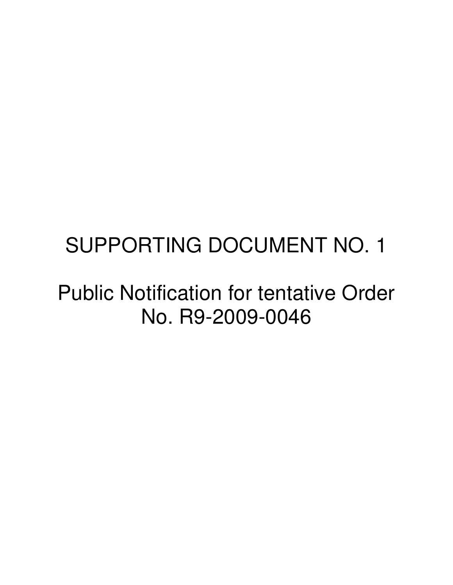# SUPPORTING DOCUMENT NO. 1

#### Public Notification for tentative Order No. R9-2009-0046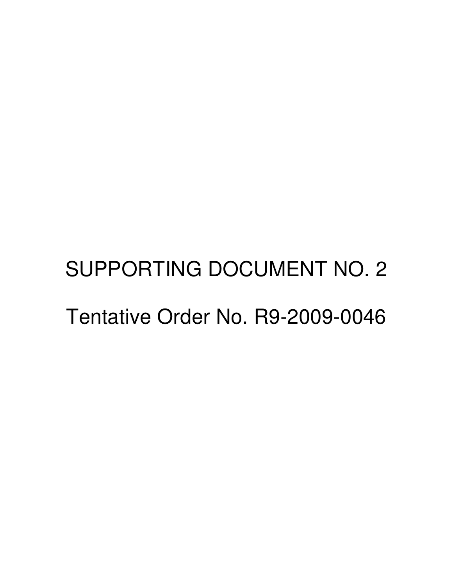# SUPPORTING DOCUMENT NO. 2 Tentative Order No. R9-2009-0046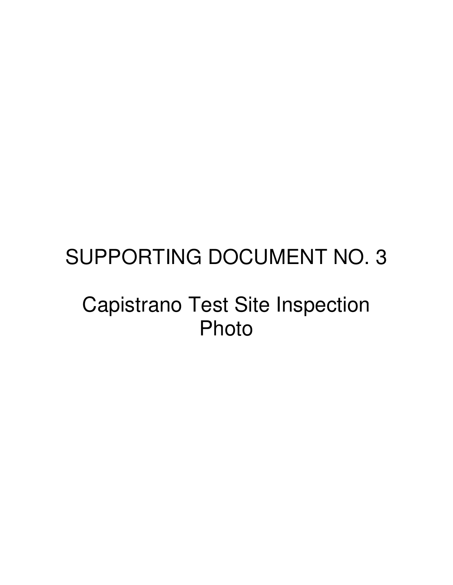# SUPPORTING DOCUMENT NO. 3

## Capistrano Test Site Inspection Photo